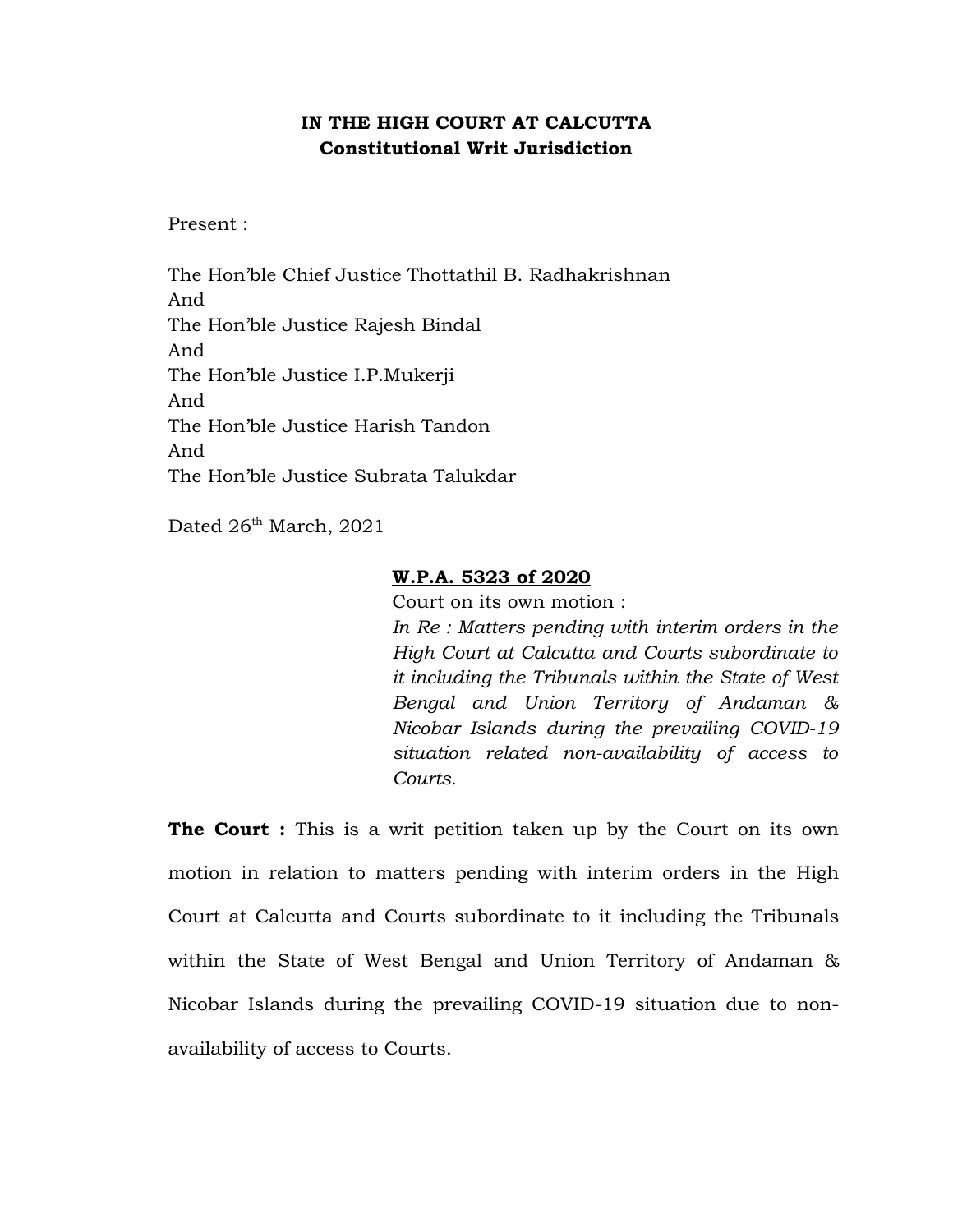## **IN THE HIGH COURT AT CALCUTTA Constitutional Writ Jurisdiction**

Present :

The Hon'ble Chief Justice Thottathil B. Radhakrishnan And The Hon'ble Justice Rajesh Bindal And The Hon'ble Justice I.P.Mukerji And The Hon'ble Justice Harish Tandon And The Hon'ble Justice Subrata Talukdar

Dated 26<sup>th</sup> March, 2021

## **W.P.A. 5323 of 2020**

Court on its own motion : *In Re : Matters pending with interim orders in the High Court at Calcutta and Courts subordinate to it including the Tribunals within the State of West Bengal and Union Territory of Andaman & Nicobar Islands during the prevailing COVID-19 situation related non-availability of access to Courts.*

**The Court :** This is a writ petition taken up by the Court on its own motion in relation to matters pending with interim orders in the High Court at Calcutta and Courts subordinate to it including the Tribunals within the State of West Bengal and Union Territory of Andaman & Nicobar Islands during the prevailing COVID-19 situation due to nonavailability of access to Courts.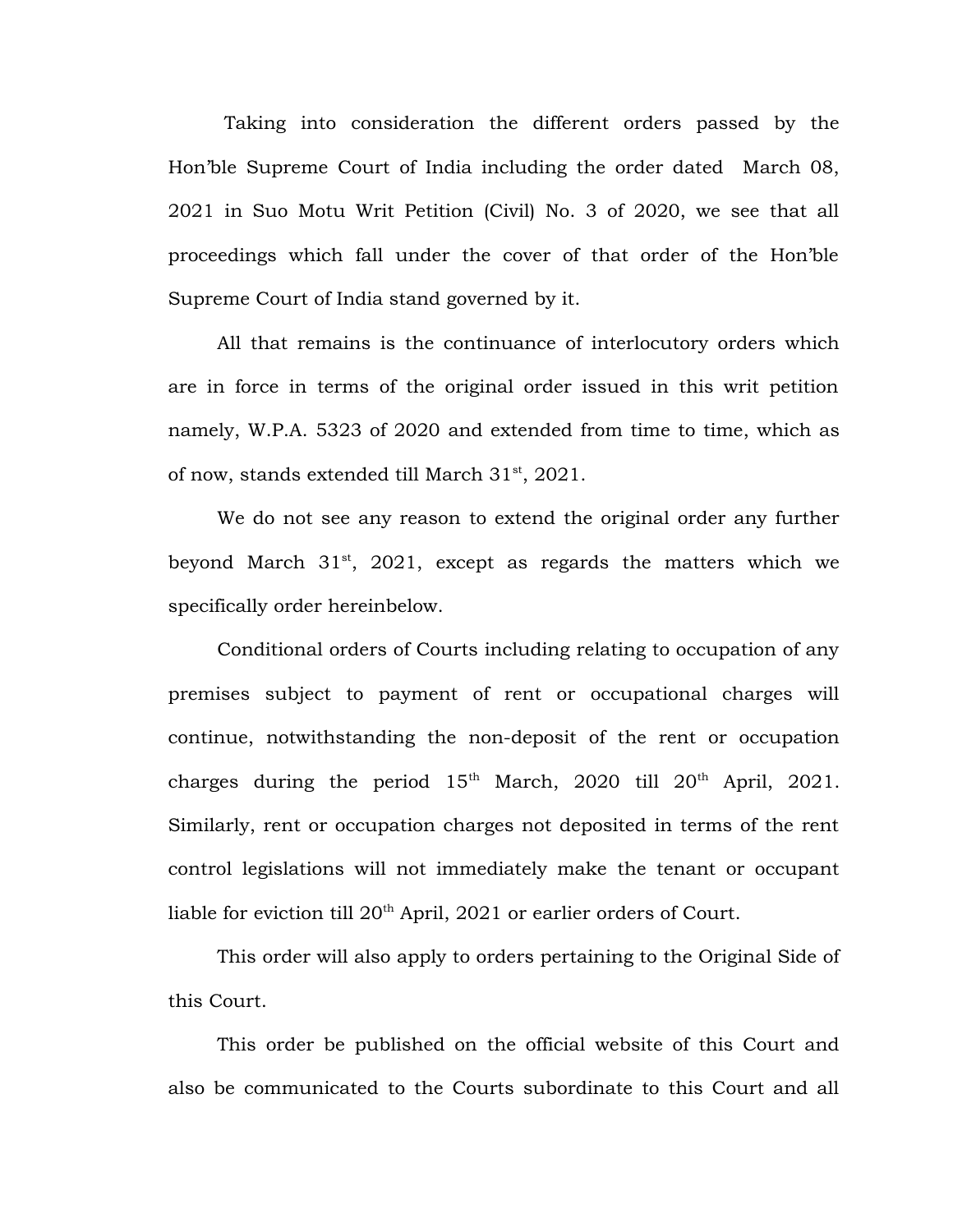Taking into consideration the different orders passed by the Hon'ble Supreme Court of India including the order dated March 08, 2021 in Suo Motu Writ Petition (Civil) No. 3 of 2020, we see that all proceedings which fall under the cover of that order of the Hon'ble Supreme Court of India stand governed by it.

All that remains is the continuance of interlocutory orders which are in force in terms of the original order issued in this writ petition namely, W.P.A. 5323 of 2020 and extended from time to time, which as of now, stands extended till March 31<sup>st</sup>, 2021.

We do not see any reason to extend the original order any further beyond March  $31<sup>st</sup>$ , 2021, except as regards the matters which we specifically order hereinbelow.

Conditional orders of Courts including relating to occupation of any premises subject to payment of rent or occupational charges will continue, notwithstanding the non-deposit of the rent or occupation charges during the period  $15<sup>th</sup>$  March, 2020 till  $20<sup>th</sup>$  April, 2021. Similarly, rent or occupation charges not deposited in terms of the rent control legislations will not immediately make the tenant or occupant liable for eviction till 20th April, 2021 or earlier orders of Court.

This order will also apply to orders pertaining to the Original Side of this Court.

This order be published on the official website of this Court and also be communicated to the Courts subordinate to this Court and all